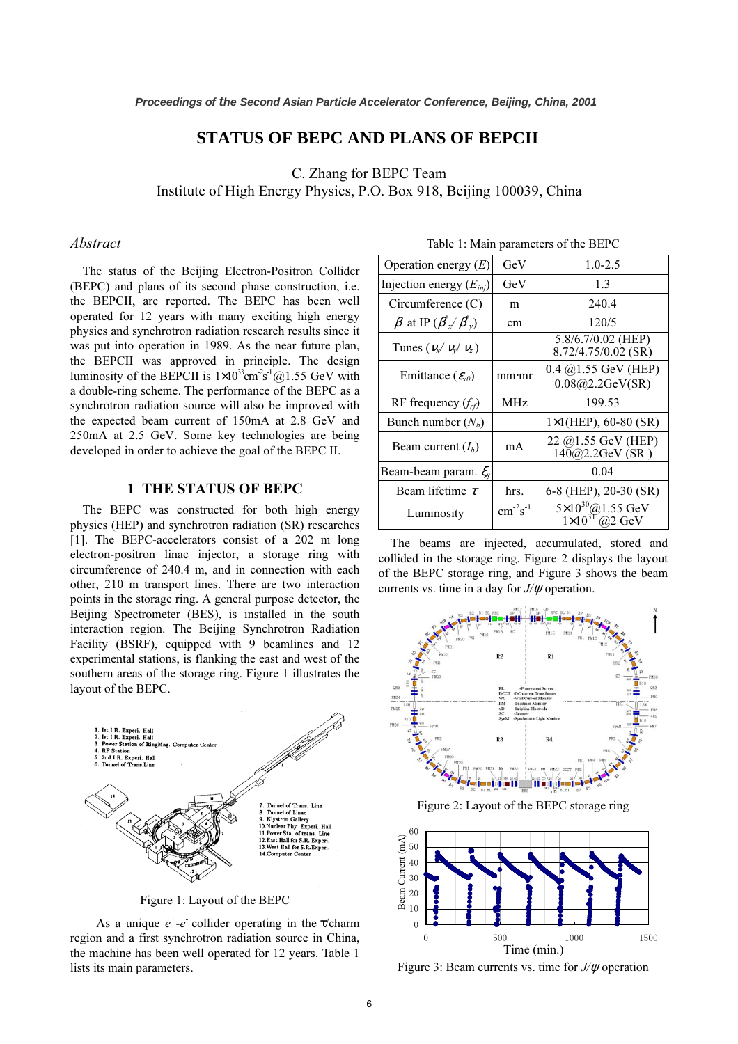# **STATUS OF BEPC AND PLANS OF BEPCII**

 $\alpha$  Physics P O Box 918 I Institute of  $H_0$  energy Physics, P.O.  $B_0$  918, Beijing 100039, China 918, Beijing 100039, China 918, China 918, China 918, China 918, China 918, China 918, China 918, China 918, China 918, China 918, China 918, China

## Abstract

The status of the Beijing Electron-Positron Collider (BEPC) and plans of its second phase construction, i.e. the BEPCII, are reported. The BEPC has been well operated for 12 years with many exciting high energy physics and synchrotron radiation research results since it was put into operation in 1989. As the near future plan, the BEPCII was approved in principle. The design luminosity of the BEPCII is  $1 \times 10^{33}$  cm<sup>-2</sup>s<sup>-1</sup> @1.55 GeV with a double-ring scheme. The performance of the BEPC as a synchrotron radiation source will also be improved with the expected beam current of 150mA at 2.8 GeV and 250mA at 2.5 GeV. Some key technologies are being developed in order to achieve the goal of the BEPC II.

#### 1 THE STATUS OF BEPC

The BEPC was constructed for both high energy physics (HEP) and synchrotron radiation (SR) researches [1]. The BEPC-accelerators consist of a 202 m long electron-positron linac injector, a storage ring with circumference of 240.4 m, and in connection with each other, 210 m transport lines. There are two interaction points in the storage ring. A general purpose detector, the Beijing Spectrometer (BES), is installed in the south interaction region. The Beijing Synchrotron Radiation Facility (BSRF), equipped with 9 beamlines and 12 experimental stations, is flanking the east and west of the southern areas of the storage ring. Figure 1 illustrates the layout of the BEPC.



Figure 1: Layout of the BEPC

As a unique  $e^+e^-$  collider operating in the  $\tau$ /charm<br>n and a first synchrotron radiation source in China region and a first synchrotron radiation source in China, the machine has been well operated for 12 years. Table 1 lists its main parameters.

| Operation energy $(E)$                        | GeV             | $1.0 - 2.5$                                                                 |
|-----------------------------------------------|-----------------|-----------------------------------------------------------------------------|
| Injection energy $(E_{inj})$                  | GeV             | 1.3                                                                         |
| Circumference $(C)$                           | m               | 240.4                                                                       |
| $\beta$ at IP $(\beta_{x}^{*}/\beta_{y}^{*})$ | cm              | 120/5                                                                       |
| Tunes ( $v_x / v_y / v_z$ )                   |                 | 5.8/6.7/0.02 (HEP)<br>$8.72/4.75/0.02$ (SR)                                 |
| Emittance $(\varepsilon_{x0})$                | mm·mr           | $0.4 \ (\hat{\omega})1.55 \ \text{GeV}$ (HEP)<br>0.08@2.2GeV(SR)            |
| RF frequency $(frf)$                          | MH <sub>z</sub> | 199.53                                                                      |
| Bunch number $(N_h)$                          |                 | $1\times1$ (HEP), 60-80 (SR)                                                |
| Beam current $(I_h)$                          | mA              | 22 @1.55 GeV (HEP)<br>$140@2.2GeV$ (SR)                                     |
| Beam-beam param. $\xi_{v}$                    |                 | 0.04                                                                        |
| Beam lifetime $\tau$                          | hrs.            | 6-8 (HEP), 20-30 (SR)                                                       |
| Luminosity                                    | $cm-2s-1$       | $5 \times 10^{30} @ 1.55 \text{ GeV}$<br>$1 \times 10^{31} @ 2 \text{ GeV}$ |

Table 1: Main parameters of the BEPC

The beams are injected, accumulated, stored and collided in the storage ring. Figure 2 displays the layout of the BEPC storage ring, and Figure 3 shows the beam currents vs. time in a day for  $J/\psi$  operation.





Figure 3: Beam currents vs. time for  $J/\psi$  operation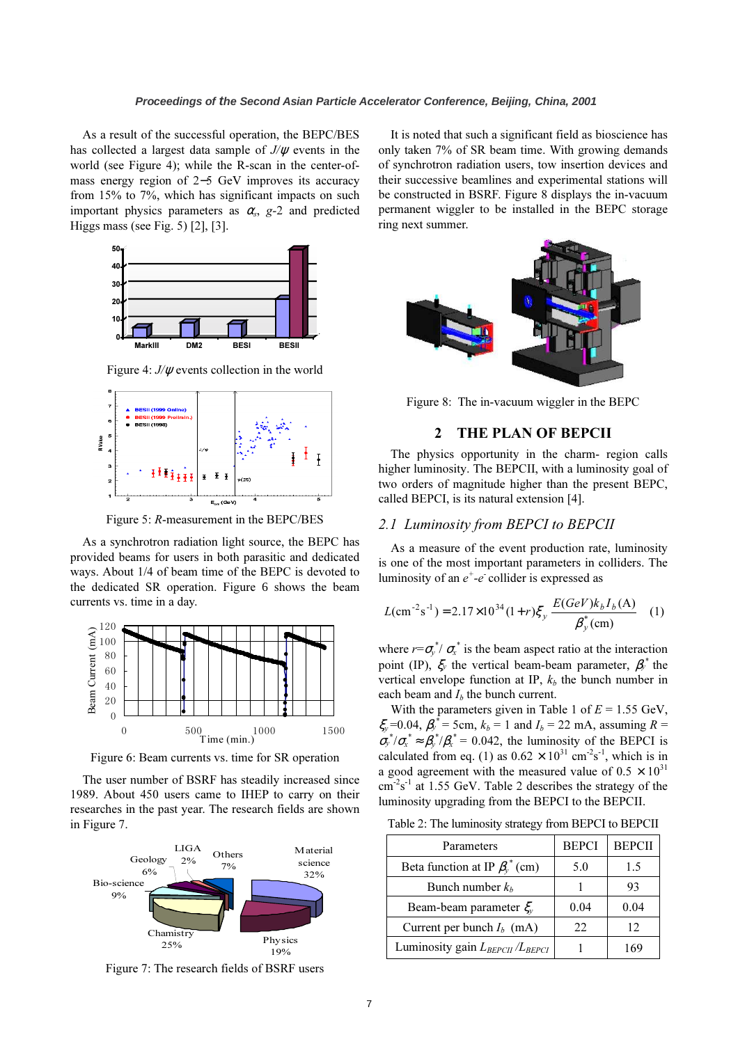As a result of the successful operation, the BEPC/BES has collected a largest data sample of  $J/\psi$  events in the world (see Figure 4); while the R-scan in the center-ofmass energy region of 2−5 GeV improves its accuracy from 15% to 7%, which has significant impacts on such important physics parameters as  $\alpha_s$ , g-2 and predicted Higgs mass (see Fig. 5) [2], [3].



Figure 4:  $J/\psi$  events collection in the world



Figure 5: R-measurement in the BEPC/BES

As a synchrotron radiation light source, the BEPC has provided beams for users in both parasitic and dedicated ways. About 1/4 of beam time of the BEPC is devoted to the dedicated SR operation. Figure 6 shows the beam currents vs. time in a day.



Figure 6: Beam currents vs. time for SR operation

The user number of BSRF has steadily increased since 1989. About 450 users came to IHEP to carry on their researches in the past year. The research fields are shown in Figure 7.



It is noted that such a significant field as bioscience has only taken 7% of SR beam time. With growing demands of synchrotron radiation users, tow insertion devices and their successive beamlines and experimental stations will be constructed in BSRF. Figure 8 displays the in-vacuum permanent wiggler to be installed in the BEPC storage ring next summer.



Figure 8: The in-vacuum wiggler in the BEPC

# 2 THE PLAN OF BEPCII

The physics opportunity in the charm- region calls higher luminosity. The BEPCII, with a luminosity goal of two orders of magnitude higher than the present BEPC, called BEPCI, is its natural extension [4].

## 2.1 Luminosity from BEPCI to BEPCII

 As a measure of the event production rate, luminosity is one of the most important parameters in colliders. The luminosity of an  $e^+$ - $e^-$  collider is expressed as

$$
L(\text{cm}^{-2}\text{s}^{-1}) = 2.17 \times 10^{34} (1+r) \xi_y \frac{E(GeV)k_b I_b(\text{A})}{\beta_y^*(\text{cm})}
$$
 (1)

where  $r = \sigma_y^* / \sigma_x^*$  is the beam aspect ratio at the interaction<br>point (IP)  $\zeta$  the vertical beam beam parameter  $\beta^*$  the point (IP),  $\xi_y$  the vertical beam-beam parameter,  $\beta_y^*$  the vertical envelope function at IP,  $k_b$  the bunch number in each beam and  $I<sub>b</sub>$  the bunch current.

With the parameters given in Table 1 of  $E = 1.55$  GeV,  $\xi_y = 0.04$ ,  $\beta_y^* = 5$ cm,  $k_b = 1$  and  $I_b = 22$  mA, assuming  $R = \pi^* (\pi^* \sim \beta^* / \beta^* = 0.042$ , the luminosity of the BEDCL is  $\sigma_y^* / \sigma_x^* \approx \beta_y^* / \beta_x^* = 0.042$ , the luminosity of the BEPCI is calculated from eq. (1) as  $0.62 \times 10^{31}$  cm<sup>-2</sup>s<sup>-1</sup>, which is in a good agreement with the measured value of  $0.5 \times 10^{31}$  $\text{cm}^2\text{s}^{-1}$  at 1.55 GeV. Table 2 describes the strategy of the luminosity upgrading from the BEPCI to the BEPCII.

| Table 2: The luminosity strategy from BEPCI to BEPCII |  |  |
|-------------------------------------------------------|--|--|
|                                                       |  |  |

| Parameters                             | <b>BEPCI</b> | <b>BEPCII</b> |
|----------------------------------------|--------------|---------------|
| Beta function at IP $\beta_v^*$ (cm)   | 5.0          | 1.5           |
| Bunch number $k_h$                     |              | 93            |
| Beam-beam parameter $\xi$              | 0.04         | 0.04          |
| Current per bunch $I_b$ (mA)           | 22           | 12            |
| Luminosity gain $L_{BEPCII}/L_{BEPCI}$ |              | 69            |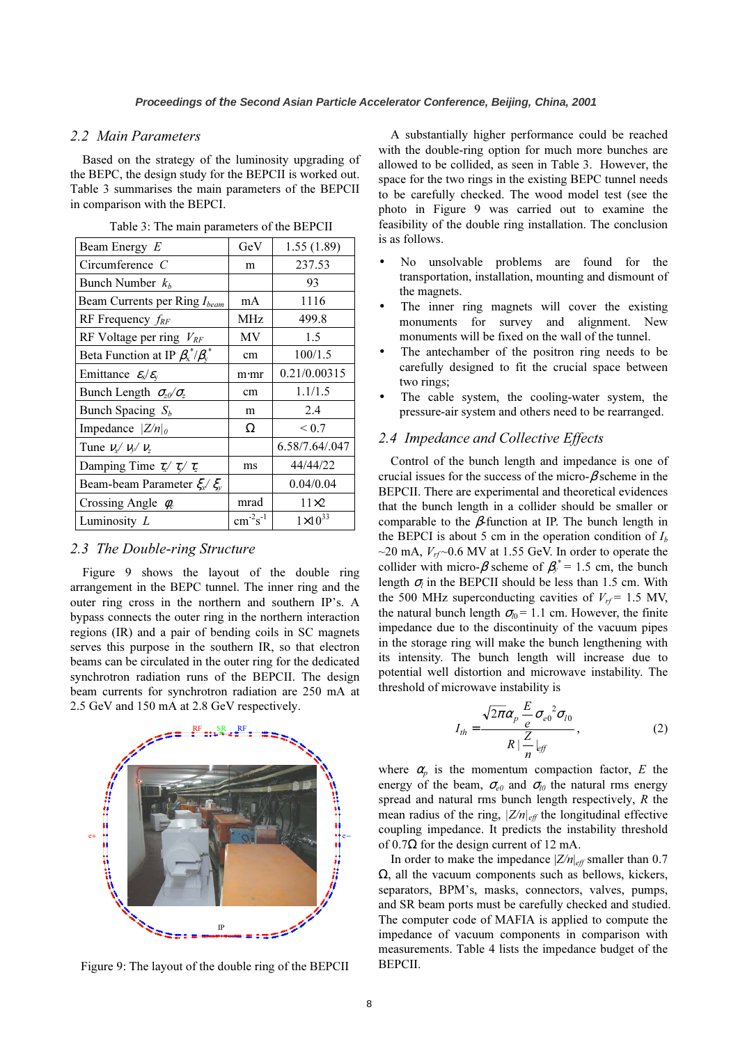### 2.2 Main Parameters

Based on the strategy of the luminosity upgrading of the BEPC, the design study for the BEPCII is worked out. Table 3 summarises the main parameters of the BEPCII in comparison with the BEPCI.

| Beam Energy E                                 | GeV             | 1.55(1.89)         |  |
|-----------------------------------------------|-----------------|--------------------|--|
| Circumference $C$                             | m               | 237.53             |  |
| Bunch Number $k_h$                            |                 | 93                 |  |
| Beam Currents per Ring I <sub>beam</sub>      | mA              | 1116               |  |
| RF Frequency $f_{RF}$                         | MHz             | 499.8              |  |
| RF Voltage per ring $V_{RF}$                  | MV              | 1.5                |  |
| Beta Function at IP $\beta_x^* / \beta_x^*$   | cm              | 100/1.5            |  |
| Emittance $\varepsilon_x/\varepsilon_y$       | m·mr            | 0.21/0.00315       |  |
| Bunch Length $\sigma_{z0}/\sigma_{z}$         | cm              | 1.1/1.5            |  |
| Bunch Spacing $S_b$                           | m               | 2.4                |  |
| Impedance $ Z/n _0$                           | Ω               | ${}_{0.7}$         |  |
| Tune $v_x/v_y/v_z$                            |                 | 6.58/7.64/.047     |  |
| Damping Time $\tau_{x}$ $\tau_{y}$ $\tau_{z}$ | ms              | 44/44/22           |  |
| Beam-beam Parameter $\xi_{x}$ $\xi_{y}$       |                 | 0.04/0.04          |  |
| Crossing Angle $\phi_c$                       | mrad            | $11\times2$        |  |
| Luminosity L                                  | $cm^{-2}s^{-1}$ | $1 \times 10^{33}$ |  |

Table 3: The main parameters of the BEPCII

#### 2.3 The Double-ring Structure

Figure 9 shows the layout of the double ring arrangement in the BEPC tunnel. The inner ring and the outer ring cross in the northern and southern IP's. A bypass connects the outer ring in the northern interaction regions (IR) and a pair of bending coils in SC magnets serves this purpose in the southern IR, so that electron beams can be circulated in the outer ring for the dedicated synchrotron radiation runs of the BEPCII. The design beam currents for synchrotron radiation are 250 mA at 2.5 GeV and 150 mA at 2.8 GeV respectively.



Figure 9: The layout of the double ring of the BEPCII

A substantially higher performance could be reached with the double-ring option for much more bunches are allowed to be collided, as seen in Table 3. However, the space for the two rings in the existing BEPC tunnel needs to be carefully checked. The wood model test (see the photo in Figure 9 was carried out to examine the feasibility of the double ring installation. The conclusion is as follows.

- No unsolvable problems are found for the transportation, installation, mounting and dismount of the magnets.
- The inner ring magnets will cover the existing monuments for survey and alignment. New monuments will be fixed on the wall of the tunnel.
- The antechamber of the positron ring needs to be carefully designed to fit the crucial space between two rings;
- The cable system, the cooling-water system, the pressure-air system and others need to be rearranged.

## 2.4 Impedance and Collective Effects

Control of the bunch length and impedance is one of crucial issues for the success of the micro- $\beta$  scheme in the BEPCII. There are experimental and theoretical evidences that the bunch length in a collider should be smaller or comparable to the  $\beta$ -function at IP. The bunch length in the BEPCI is about 5 cm in the operation condition of  $I<sub>b</sub>$  $\sim$ 20 mA,  $V_{rf}$  $\sim$ 0.6 MV at 1.55 GeV. In order to operate the collider with micro- $\beta$  scheme of  $\beta_y^* = 1.5$  cm, the bunch length  $\sigma_i$  in the BEPCII should be less than 1.5 cm. With the 500 MHz superconducting cavities of  $V_{rf}$  = 1.5 MV, the natural bunch length  $\sigma_{l0}$  = 1.1 cm. However, the finite impedance due to the discontinuity of the vacuum pipes in the storage ring will make the bunch lengthening with its intensity. The bunch length will increase due to potential well distortion and microwave instability. The threshold of microwave instability is

$$
I_{th} = \frac{\sqrt{2\pi}\alpha_p \frac{E}{e} \sigma_{e0}^2 \sigma_{l0}}{R \mid \frac{Z}{n} \mid_{eff}},
$$
 (2)

where  $\alpha_p$  is the momentum compaction factor, E the energy of the beam,  $\sigma_{e0}$  and  $\sigma_{l0}$  the natural rms energy spread and natural rms bunch length respectively, R the mean radius of the ring,  $|Z/n|_{\text{eff}}$  the longitudinal effective coupling impedance. It predicts the instability threshold of  $0.7\Omega$  for the design current of 12 mA.

In order to make the impedance  $|Z/n|_{eff}$  smaller than 0.7  $Ω$ , all the vacuum components such as bellows, kickers, separators, BPM's, masks, connectors, valves, pumps, and SR beam ports must be carefully checked and studied. The computer code of MAFIA is applied to compute the impedance of vacuum components in comparison with measurements. Table 4 lists the impedance budget of the BEPCII.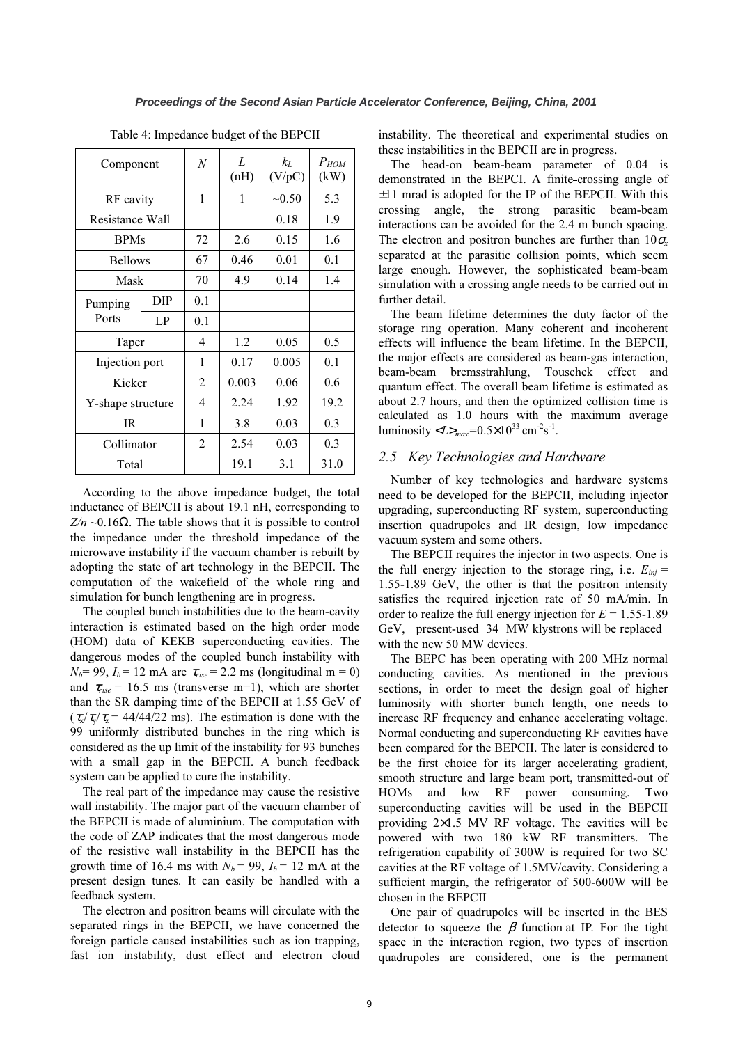| Component         |     | $\boldsymbol{N}$ | L<br>(nH) | $k_L$<br>(V/pC) | $P_{HOM}$<br>(kW) |
|-------------------|-----|------------------|-----------|-----------------|-------------------|
| RF cavity         |     | 1                | 1         | ~10.50          | 5.3               |
| Resistance Wall   |     |                  |           | 0.18            | 1.9               |
| <b>BPMs</b>       |     | 72               | 2.6       | 0.15            | 1.6               |
| <b>Bellows</b>    |     | 67               | 0.46      | 0.01            | 0.1               |
| Mask              |     | 70               | 4.9       | 0.14            | 1.4               |
| Pumping<br>Ports  | DIP | 0.1              |           |                 |                   |
|                   | LP  | 0.1              |           |                 |                   |
| Taper             |     | 4                | 1.2       | 0.05            | 0.5               |
| Injection port    |     | 1                | 0.17      | 0.005           | 0.1               |
| Kicker            |     | 2                | 0.003     | 0.06            | $0.6^{\circ}$     |
| Y-shape structure |     | 4                | 2.24      | 1.92            | 19.2              |
| <b>IR</b>         |     | 1                | 3.8       | 0.03            | 0.3               |
| Collimator        |     | $\overline{2}$   | 2.54      | 0.03            | 0.3               |
| Total             |     |                  | 19.1      | 3.1             | 31.0              |

Table 4: Impedance budget of the BEPCII

According to the above impedance budget, the total inductance of BEPCII is about 19.1 nH, corresponding to  $Z/n \sim 0.16\Omega$ . The table shows that it is possible to control the impedance under the threshold impedance of the microwave instability if the vacuum chamber is rebuilt by adopting the state of art technology in the BEPCII. The computation of the wakefield of the whole ring and simulation for bunch lengthening are in progress.

 The coupled bunch instabilities due to the beam-cavity interaction is estimated based on the high order mode (HOM) data of KEKB superconducting cavities. The dangerous modes of the coupled bunch instability with  $N_b$ = 99,  $I_b$  = 12 mA are  $\tau_{rise}$  = 2.2 ms (longitudinal m = 0) and  $\tau_{rise}$  = 16.5 ms (transverse m=1), which are shorter than the SR damping time of the BEPCII at 1.55 GeV of  $(\tau_x/\tau_y/\tau_z = 44/44/22 \text{ ms})$ . The estimation is done with the 99 uniformly distributed bunches in the ring which is considered as the up limit of the instability for 93 bunches with a small gap in the BEPCII. A bunch feedback system can be applied to cure the instability.

The real part of the impedance may cause the resistive wall instability. The major part of the vacuum chamber of the BEPCII is made of aluminium. The computation with the code of ZAP indicates that the most dangerous mode of the resistive wall instability in the BEPCII has the growth time of 16.4 ms with  $N_b = 99$ ,  $I_b = 12$  mA at the present design tunes. It can easily be handled with a feedback system.

The electron and positron beams will circulate with the separated rings in the BEPCII, we have concerned the foreign particle caused instabilities such as ion trapping, fast ion instability, dust effect and electron cloud

instability. The theoretical and experimental studies on these instabilities in the BEPCII are in progress.

The head-on beam-beam parameter of 0.04 is demonstrated in the BEPCI. A finite-crossing angle of  $\pm 11$  mrad is adopted for the IP of the BEPCII. With this crossing angle, the strong parasitic beam-beam interactions can be avoided for the 2.4 m bunch spacing. The electron and positron bunches are further than  $10\sigma_x$ separated at the parasitic collision points, which seem large enough. However, the sophisticated beam-beam simulation with a crossing angle needs to be carried out in further detail.

The beam lifetime determines the duty factor of the storage ring operation. Many coherent and incoherent effects will influence the beam lifetime. In the BEPCII, the major effects are considered as beam-gas interaction, beam-beam bremsstrahlung, Touschek effect and quantum effect. The overall beam lifetime is estimated as about 2.7 hours, and then the optimized collision time is calculated as 1.0 hours with the maximum average luminosity  $\langle L \rangle_{max} = 0.5 \times 10^{33} \text{ cm}^{-2} \text{s}^{-1}$ .

## 2.5 Key Technologies and Hardware

Number of key technologies and hardware systems need to be developed for the BEPCII, including injector upgrading, superconducting RF system, superconducting insertion quadrupoles and IR design, low impedance vacuum system and some others.

The BEPCII requires the injector in two aspects. One is the full energy injection to the storage ring, i.e.  $E_{inj}$  = 1.55-1.89 GeV, the other is that the positron intensity satisfies the required injection rate of 50 mA/min. In order to realize the full energy injection for  $E = 1.55 - 1.89$ GeV, present-used 34 MW klystrons will be replaced with the new 50 MW devices.

The BEPC has been operating with 200 MHz normal conducting cavities. As mentioned in the previous sections, in order to meet the design goal of higher luminosity with shorter bunch length, one needs to increase RF frequency and enhance accelerating voltage. Normal conducting and superconducting RF cavities have been compared for the BEPCII. The later is considered to be the first choice for its larger accelerating gradient, smooth structure and large beam port, transmitted-out of HOMs and low RF power consuming. Two superconducting cavities will be used in the BEPCII providing  $2\times1.5$  MV RF voltage. The cavities will be powered with two 180 kW RF transmitters. The refrigeration capability of 300W is required for two SC cavities at the RF voltage of 1.5MV/cavity. Considering a sufficient margin, the refrigerator of 500-600W will be chosen in the BEPCII

One pair of quadrupoles will be inserted in the BES detector to squeeze the  $\beta$  function at IP. For the tight space in the interaction region, two types of insertion quadrupoles are considered, one is the permanent